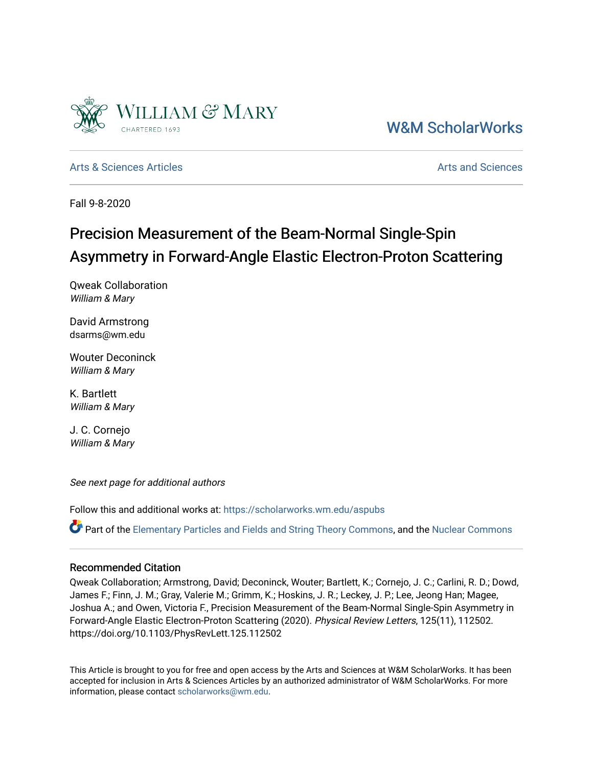

## [W&M ScholarWorks](https://scholarworks.wm.edu/)

[Arts & Sciences Articles](https://scholarworks.wm.edu/aspubs) **Articles** Articles [Arts and Sciences](https://scholarworks.wm.edu/as) Arts and Sciences Arts and Sciences Arts and Sciences

Fall 9-8-2020

# Precision Measurement of the Beam-Normal Single-Spin Asymmetry in Forward-Angle Elastic Electron-Proton Scattering

Qweak Collaboration William & Mary

David Armstrong dsarms@wm.edu

Wouter Deconinck William & Mary

K. Bartlett William & Mary

J. C. Cornejo William & Mary

See next page for additional authors

Follow this and additional works at: [https://scholarworks.wm.edu/aspubs](https://scholarworks.wm.edu/aspubs?utm_source=scholarworks.wm.edu%2Faspubs%2F1748&utm_medium=PDF&utm_campaign=PDFCoverPages) 

Part of the [Elementary Particles and Fields and String Theory Commons](http://network.bepress.com/hgg/discipline/199?utm_source=scholarworks.wm.edu%2Faspubs%2F1748&utm_medium=PDF&utm_campaign=PDFCoverPages), and the [Nuclear Commons](http://network.bepress.com/hgg/discipline/203?utm_source=scholarworks.wm.edu%2Faspubs%2F1748&utm_medium=PDF&utm_campaign=PDFCoverPages)

#### Recommended Citation

Qweak Collaboration; Armstrong, David; Deconinck, Wouter; Bartlett, K.; Cornejo, J. C.; Carlini, R. D.; Dowd, James F.; Finn, J. M.; Gray, Valerie M.; Grimm, K.; Hoskins, J. R.; Leckey, J. P.; Lee, Jeong Han; Magee, Joshua A.; and Owen, Victoria F., Precision Measurement of the Beam-Normal Single-Spin Asymmetry in Forward-Angle Elastic Electron-Proton Scattering (2020). Physical Review Letters, 125(11), 112502. https://doi.org/10.1103/PhysRevLett.125.112502

This Article is brought to you for free and open access by the Arts and Sciences at W&M ScholarWorks. It has been accepted for inclusion in Arts & Sciences Articles by an authorized administrator of W&M ScholarWorks. For more information, please contact [scholarworks@wm.edu](mailto:scholarworks@wm.edu).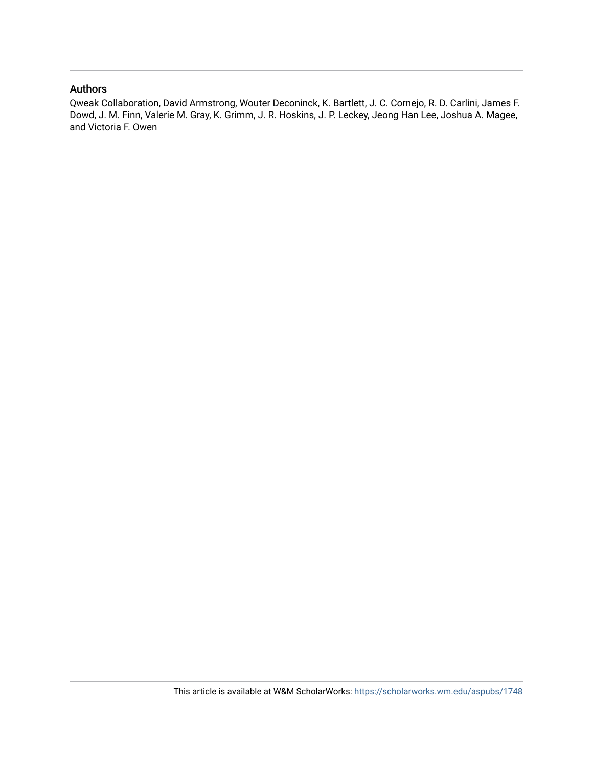### Authors

Qweak Collaboration, David Armstrong, Wouter Deconinck, K. Bartlett, J. C. Cornejo, R. D. Carlini, James F. Dowd, J. M. Finn, Valerie M. Gray, K. Grimm, J. R. Hoskins, J. P. Leckey, Jeong Han Lee, Joshua A. Magee, and Victoria F. Owen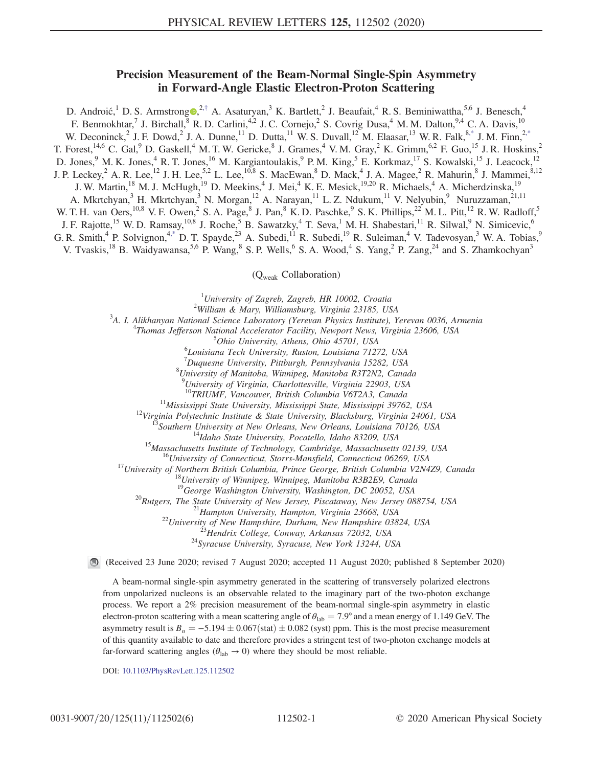### Precision Measurement of the Beam-Normal Single-Spin Asymmetry in Forward-Angle Elastic Electron-Proton Scattering

<span id="page-2-1"></span>D. Androić, <sup>1</sup> D. S. Armstrong  $\Phi$ , <sup>2,[†](#page-6-0)</sup> A. Asaturyan, <sup>3</sup> K. Bartlett, <sup>2</sup> J. Beaufait, <sup>4</sup> R. S. Beminiwattha, <sup>5,6</sup> J. Benesch, <sup>4</sup> F. Benmokhtar,<sup>7</sup> J. Birchall,<sup>8</sup> R. D. Carlini,<sup>4,2</sup> J. C. Cornejo,<sup>2</sup> S. Covrig Dusa,<sup>4</sup> M. M. Dalton,<sup>9,4</sup> C. A. Davis,<sup>10</sup> W. Deconinck, <sup>2</sup> J. F. Dowd, <sup>2</sup> J. A. Dunne, <sup>11</sup> D. Dutta, <sup>11</sup> W. S. Duvall, <sup>12</sup> M. Elaasar, <sup>13</sup> W. R. Falk, <sup>[8,\\*](#page-6-1)</sup> J. M. Finn, <sup>2[,\\*](#page-6-1)</sup> T. Forest,<sup>14,6</sup> C. Gal,<sup>9</sup> D. Gaskell,<sup>4</sup> M. T. W. Gericke,<sup>8</sup> J. Grames,<sup>4</sup> V. M. Gray,<sup>2</sup> K. Grimm,<sup>6,2</sup> F. Guo,<sup>15</sup> J. R. Hoskins,<sup>2</sup> D. Jones, <sup>9</sup> M. K. Jones, <sup>4</sup> R. T. Jones, <sup>16</sup> M. Kargiantoulakis, <sup>9</sup> P. M. King, <sup>5</sup> E. Korkmaz, <sup>17</sup> S. Kowalski, <sup>15</sup> J. Leacock, <sup>12</sup> J. P. Leckey, <sup>2</sup> A. R. Lee,<sup>12</sup> J. H. Lee,<sup>5,2</sup> L. Lee,<sup>10,8</sup> S. MacEwan, <sup>8</sup> D. Mack, <sup>4</sup> J. A. Magee, <sup>2</sup> R. Mahurin, <sup>8</sup> J. Mammei, <sup>8,12</sup> J. W. Martin,<sup>18</sup> M. J. McHugh,<sup>19</sup> D. Meekins,<sup>4</sup> J. Mei,<sup>4</sup> K. E. Mesick,<sup>19,20</sup> R. Michaels,<sup>4</sup> A. Micherdzinska,<sup>19</sup> A. Mkrtchyan,<sup>3</sup> H. Mkrtchyan,<sup>3</sup> N. Morgan,<sup>12</sup> A. Narayan,<sup>11</sup> L. Z. Ndukum,<sup>11</sup> V. Nelyubin,<sup>9</sup> Nuruzzaman,<sup>21,11</sup> W. T. H. van Oers,  $^{10,8}$  V. F. Owen, <sup>2</sup> S. A. Page, <sup>8</sup> J. Pan, <sup>8</sup> K. D. Paschke, <sup>9</sup> S. K. Phillips, <sup>22</sup> M. L. Pitt, <sup>12</sup> R. W. Radloff, <sup>5</sup> J. F. Rajotte,<sup>15</sup> W. D. Ramsay,<sup>10,8</sup> J. Roche,<sup>5</sup> B. Sawatzky,<sup>4</sup> T. Seva,<sup>1</sup> M. H. Shabestari,<sup>11</sup> R. Silwal,<sup>9</sup> N. Simicevic,<sup>6</sup> G. R. Smith,<sup>4</sup> P. Solvignon,<sup>[4,\\*](#page-6-1)</sup> D. T. Spayde,<sup>23</sup> A. Subedi,<sup>11</sup> R. Subedi,<sup>19</sup> R. Suleiman,<sup>4</sup> V. Tadevosyan,<sup>3</sup> W. A. Tobias,<sup>9</sup> V. Tvaskis,<sup>18</sup> B. Waidyawansa,<sup>5,6</sup> P. Wang,<sup>8</sup> S. P. Wells,<sup>6</sup> S. A. Wood,<sup>4</sup> S. Yang,<sup>2</sup> P. Zang,<sup>24</sup> and S. Zhamkochyan<sup>3</sup>

(Qweak Collaboration)

<sup>1</sup> University of Zagreb, Zagreb, HR 10002, Croatia<sup>2</sup> Williams P. Mary, Williamsburg, Vincipia 22185, 119

William & Mary, Williamsburg, Virginia 23185, USA <sup>3</sup>

<span id="page-2-0"></span> $A^3$ A. I. Alikhanyan National Science Laboratory (Yerevan Physics Institute), Yerevan 0036, Armenia

<sup>4</sup>Thomas Jefferson National Accelerator Facility, Newport News, Virginia 23606, USA

 $5$ Ohio University, Athens, Ohio 45701, USA

Louisiana Tech University, Ruston, Louisiana 71272, USA

<sup>7</sup>Duquesne University, Pittburgh, Pennsylvania 15282, USA<br><sup>8</sup>University of Manitoka Winnipeg, Manitoka B2T2N2, Cana

University of Manitoba, Winnipeg, Manitoba R3T2N2, Canada

<sup>9</sup>University of Virginia, Charlottesville, Virginia 22903, USA

<sup>10</sup>TRIUMF, Vancouver, British Columbia V6T2A3, Canada<br><sup>11</sup>Mississippi State University, Mississippi State, Mississippi 39762, USA<br><sup>12</sup>Virginia Polytechnic Institute & State University, Blacksburg, Virginia 24061, USA<br><sup>13</sup>

<sup>20</sup>Rutgers, The State University of New Jersey, Piscataway, New Jersey 088754, USA<br><sup>21</sup>Hampton University, Hampton, Virginia 23668, USA<br><sup>22</sup>University of New Hampshire, Durham, New Hampshire 03824, USA<br><sup>23</sup>Hendrix Colleg

(Received 23 June 2020; revised 7 August 2020; accepted 11 August 2020; published 8 September 2020)

A beam-normal single-spin asymmetry generated in the scattering of transversely polarized electrons from unpolarized nucleons is an observable related to the imaginary part of the two-photon exchange process. We report a 2% precision measurement of the beam-normal single-spin asymmetry in elastic electron-proton scattering with a mean scattering angle of  $\theta_{lab} = 7.9^\circ$  and a mean energy of 1.149 GeV. The asymmetry result is  $B_n = -5.194 \pm 0.067$  (stat)  $\pm 0.082$  (syst) ppm. This is the most precise measurement of this quantity available to date and therefore provides a stringent test of two-photon exchange models at far-forward scattering angles ( $\theta_{lab} \rightarrow 0$ ) where they should be most reliable.

DOI: [10.1103/PhysRevLett.125.112502](https://doi.org/10.1103/PhysRevLett.125.112502)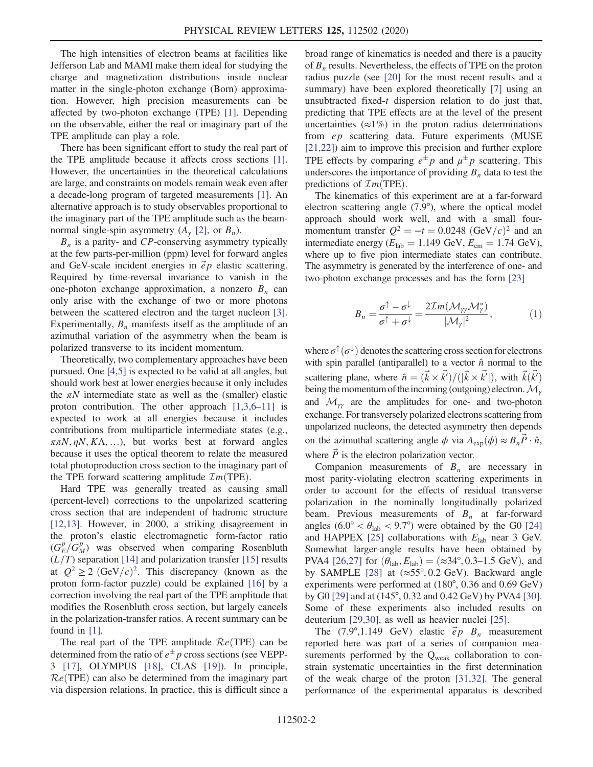The high intensities of electron beams at facilities like Jefferson Lab and MAMI make them ideal for studying the charge and magnetization distributions inside nuclear matter in the single-photon exchange (Born) approximation. However, high precision measurements can be affected by two-photon exchange (TPE) [\[1\].](#page-6-2) Depending on the observable, either the real or imaginary part of the TPE amplitude can play a role.

There has been significant effort to study the real part of the TPE amplitude because it affects cross sections [\[1\]](#page-6-2). However, the uncertainties in the theoretical calculations are large, and constraints on models remain weak even after a decade-long program of targeted measurements [\[1\].](#page-6-2) An alternative approach is to study observables proportional to the imaginary part of the TPE amplitude such as the beamnormal single-spin asymmetry  $(A_v [2])$ , or  $B_n$ ).

 $B_n$  is a parity- and CP-conserving asymmetry typically at the few parts-per-million (ppm) level for forward angles and GeV-scale incident energies in  $\vec{e}$  p elastic scattering. Required by time-reversal invariance to vanish in the one-photon exchange approximation, a nonzero  $B_n$  can only arise with the exchange of two or more photons between the scattered electron and the target nucleon [\[3\]](#page-6-4). Experimentally,  $B_n$  manifests itself as the amplitude of an azimuthal variation of the asymmetry when the beam is polarized transverse to its incident momentum.

Theoretically, two complementary approaches have been pursued. One [\[4,5\]](#page-6-5) is expected to be valid at all angles, but should work best at lower energies because it only includes the  $\pi N$  intermediate state as well as the (smaller) elastic proton contribution. The other approach  $[1,3,6-11]$  $[1,3,6-11]$  is expected to work at all energies because it includes contributions from multiparticle intermediate states (e.g.,  $\pi \pi N$ ,  $\eta N$ ,  $K\Lambda$ , ...), but works best at forward angles because it uses the optical theorem to relate the measured total photoproduction cross section to the imaginary part of the TPE forward scattering amplitude  $\mathcal{I}m$ (TPE).

Hard TPE was generally treated as causing small (percent-level) corrections to the unpolarized scattering cross section that are independent of hadronic structure [\[12,13\]](#page-6-6). However, in 2000, a striking disagreement in the proton's elastic electromagnetic form-factor ratio  $(G_E^p/G_M^p)$  was observed when comparing Rosenbluth  $(L/T)$  separation [\[14\]](#page-6-7) and polarization transfer [\[15\]](#page-6-8) results at  $Q^2 \geq 2 \text{ (GeV/}c)^2$ . This discrepancy (known as the proton form-factor puzzle) could be explained [\[16\]](#page-6-9) by a correction involving the real part of the TPE amplitude that modifies the Rosenbluth cross section, but largely cancels in the polarization-transfer ratios. A recent summary can be found in [\[1\].](#page-6-2)

The real part of the TPE amplitude  $Re(TPE)$  can be determined from the ratio of  $e^{\pm}p$  cross sections (see VEPP-3 [\[17\]](#page-6-10), OLYMPUS [\[18\]](#page-6-11), CLAS [\[19\]\)](#page-6-12). In principle,  $Re(TPE)$  can also be determined from the imaginary part via dispersion relations. In practice, this is difficult since a broad range of kinematics is needed and there is a paucity of  $B_n$  results. Nevertheless, the effects of TPE on the proton radius puzzle (see [\[20\]](#page-7-0) for the most recent results and a summary) have been explored theoretically [\[7\]](#page-6-13) using an unsubtracted fixed-t dispersion relation to do just that, predicting that TPE effects are at the level of the present uncertainties ( $\approx$ 1%) in the proton radius determinations from ep scattering data. Future experiments (MUSE [\[21,22\]](#page-7-1)) aim to improve this precision and further explore TPE effects by comparing  $e^{\pm}p$  and  $\mu^{\pm}p$  scattering. This underscores the importance of providing  $B_n$  data to test the predictions of  $\mathcal{I}m(TPE)$ .

The kinematics of this experiment are at a far-forward electron scattering angle (7.9°), where the optical model approach should work well, and with a small fourmomentum transfer  $Q^2 = -t = 0.0248 \text{ (GeV/c)}^2$  and an intermediate energy ( $E_{\text{lab}} = 1.149 \text{ GeV}, E_{\text{cm}} = 1.74 \text{ GeV}$ ), where up to five pion intermediate states can contribute. The asymmetry is generated by the interference of one- and two-photon exchange processes and has the form [\[23\]](#page-7-2)

$$
B_n = \frac{\sigma^{\uparrow} - \sigma^{\downarrow}}{\sigma^{\uparrow} + \sigma^{\downarrow}} = \frac{2\mathcal{I}m(\mathcal{M}_{\gamma\gamma}\mathcal{M}_{\gamma}^*)}{|\mathcal{M}_{\gamma}|^2},\tag{1}
$$

where  $\sigma^{\uparrow}(\sigma^{\downarrow})$  denotes the scattering cross section for electrons with spin parallel (antiparallel) to a vector  $\hat{n}$  normal to the scattering plane, where  $\hat{n} = (\vec{k} \times \vec{k'}) / (|\vec{k} \times \vec{k'}|)$ , with  $\vec{k}(\vec{k'})$ being the momentum of the incoming (outgoing) electron.  $\mathcal{M}_{\gamma}$ and  $\mathcal{M}_{\gamma\gamma}$  are the amplitudes for one- and two-photon exchange. For transversely polarized electrons scattering from unpolarized nucleons, the detected asymmetry then depends on the azimuthal scattering angle  $\phi$  via  $A_{\exp}(\phi) \approx B_n P \cdot \hat{n}$ , where  $\vec{P}$  is the electron polarization vector.

Companion measurements of  $B_n$  are necessary in most parity-violating electron scattering experiments in order to account for the effects of residual transverse polarization in the nominally longitudinally polarized beam. Previous measurements of  $B_n$  at far-forward angles (6.0° <  $\theta_{\rm lab}$  < 9.7°) were obtained by the G0 [\[24\]](#page-7-3) and HAPPEX [\[25\]](#page-7-4) collaborations with  $E_{lab}$  near 3 GeV. Somewhat larger-angle results have been obtained by PVA4 [\[26,27\]](#page-7-5) for  $(\theta_{lab}, E_{lab}) = (\approx 34^{\circ}, 0.3-1.5 \text{ GeV})$ , and by SAMPLE [\[28\]](#page-7-6) at  $(\approx 55^{\circ}, 0.2 \text{ GeV})$ . Backward angle experiments were performed at (180°, 0.36 and 0.69 GeV) by G0 [\[29\]](#page-7-7) and at (145°, 0.32 and 0.42 GeV) by PVA4 [\[30\]](#page-7-8). Some of these experiments also included results on deuterium [\[29,30\]](#page-7-7), as well as heavier nuclei [\[25\].](#page-7-4)

The  $(7.9^{\circ},1.149 \text{ GeV})$  elastic  $\vec{e}p \cdot B_n$  measurement reported here was part of a series of companion measurements performed by the  $Q_{weak}$  collaboration to constrain systematic uncertainties in the first determination of the weak charge of the proton [\[31,32\].](#page-7-9) The general performance of the experimental apparatus is described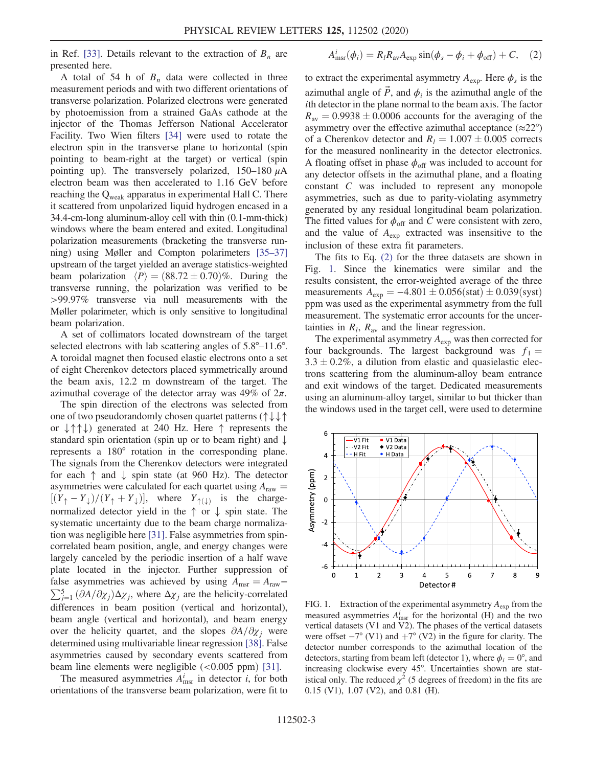in Ref. [\[33\].](#page-7-10) Details relevant to the extraction of  $B_n$  are presented here.

A total of 54 h of  $B_n$  data were collected in three measurement periods and with two different orientations of transverse polarization. Polarized electrons were generated by photoemission from a strained GaAs cathode at the injector of the Thomas Jefferson National Accelerator Facility. Two Wien filters [\[34\]](#page-7-11) were used to rotate the electron spin in the transverse plane to horizontal (spin pointing to beam-right at the target) or vertical (spin pointing up). The transversely polarized,  $150-180 \mu A$ electron beam was then accelerated to 1.16 GeV before reaching the Q<sub>weak</sub> apparatus in experimental Hall C. There it scattered from unpolarized liquid hydrogen encased in a 34.4-cm-long aluminum-alloy cell with thin (0.1-mm-thick) windows where the beam entered and exited. Longitudinal polarization measurements (bracketing the transverse running) using Møller and Compton polarimeters [35–[37\]](#page-7-12) upstream of the target yielded an average statistics-weighted beam polarization  $\langle P \rangle = (88.72 \pm 0.70)\%$ . During the transverse running, the polarization was verified to be >99.97% transverse via null measurements with the Møller polarimeter, which is only sensitive to longitudinal beam polarization.

A set of collimators located downstream of the target selected electrons with lab scattering angles of 5.8°–11.6°. A toroidal magnet then focused elastic electrons onto a set of eight Cherenkov detectors placed symmetrically around the beam axis, 12.2 m downstream of the target. The azimuthal coverage of the detector array was 49% of  $2\pi$ .

The spin direction of the electrons was selected from one of two pseudorandomly chosen quartet patterns (↑↓↓↑ or ↓↑↑↓) generated at 240 Hz. Here ↑ represents the standard spin orientation (spin up or to beam right) and ↓ represents a 180° rotation in the corresponding plane. The signals from the Cherenkov detectors were integrated for each  $\uparrow$  and  $\downarrow$  spin state (at 960 Hz). The detector asymmetries were calculated for each quartet using  $A<sub>raw</sub>$  =  $[(Y_{\uparrow} - Y_{\downarrow})/(Y_{\uparrow} + Y_{\downarrow})]$ , where  $Y_{\uparrow(\downarrow)}$  is the chargenormalized detector yield in the ↑ or ↓ spin state. The systematic uncertainty due to the beam charge normalization was negligible here [\[31\]](#page-7-9). False asymmetries from spincorrelated beam position, angle, and energy changes were largely canceled by the periodic insertion of a half wave plate located in the injector. Further suppression of  $\sum_{j=1}^{5} (\partial A/\partial \chi_j) \Delta \chi_j$ , where  $\Delta \chi_j$  are the helicity-correlated false asymmetries was achieved by using  $A_{\text{msr}} = A_{\text{raw}}$ differences in beam position (vertical and horizontal), beam angle (vertical and horizontal), and beam energy over the helicity quartet, and the slopes  $\partial A/\partial \chi_i$  were determined using multivariable linear regression [\[38\]](#page-7-13). False asymmetries caused by secondary events scattered from beam line elements were negligible  $(<0.005$  ppm $)$  [\[31\]](#page-7-9).

<span id="page-4-0"></span>The measured asymmetries  $A_{\text{msr}}^i$  in detector *i*, for both orientations of the transverse beam polarization, were fit to

$$
A_{\text{msr}}^i(\phi_i) = R_l R_{\text{av}} A_{\text{exp}} \sin(\phi_s - \phi_i + \phi_{\text{off}}) + C, \quad (2)
$$

to extract the experimental asymmetry  $A_{\text{exp}}$ . Here  $\phi_s$  is the azimuthal angle of  $\vec{P}$ , and  $\phi_i$  is the azimuthal angle of the ith detector in the plane normal to the beam axis. The factor  $R_{\text{av}} = 0.9938 \pm 0.0006$  accounts for the averaging of the asymmetry over the effective azimuthal acceptance  $(\approx 22^{\circ})$ of a Cherenkov detector and  $R_l = 1.007 \pm 0.005$  corrects for the measured nonlinearity in the detector electronics. A floating offset in phase  $\phi_{\text{off}}$  was included to account for any detector offsets in the azimuthal plane, and a floating constant C was included to represent any monopole asymmetries, such as due to parity-violating asymmetry generated by any residual longitudinal beam polarization. The fitted values for  $\phi_{\text{off}}$  and C were consistent with zero, and the value of  $A_{\text{exp}}$  extracted was insensitive to the inclusion of these extra fit parameters.

The fits to Eq. [\(2\)](#page-4-0) for the three datasets are shown in Fig. [1.](#page-4-1) Since the kinematics were similar and the results consistent, the error-weighted average of the three measurements  $A_{\text{exp}} = -4.801 \pm 0.056 \text{(stat)} \pm 0.039 \text{(syst)}$ ppm was used as the experimental asymmetry from the full measurement. The systematic error accounts for the uncertainties in  $R_l$ ,  $R_{av}$  and the linear regression.

The experimental asymmetry  $A_{\text{exp}}$  was then corrected for four backgrounds. The largest background was  $f_1 =$  $3.3 \pm 0.2\%$ , a dilution from elastic and quasielastic electrons scattering from the aluminum-alloy beam entrance and exit windows of the target. Dedicated measurements using an aluminum-alloy target, similar to but thicker than the windows used in the target cell, were used to determine

<span id="page-4-1"></span>

FIG. 1. Extraction of the experimental asymmetry  $A_{\text{exp}}$  from the measured asymmetries  $A_{\text{msr}}^i$  for the horizontal (H) and the two vertical datasets (V1 and V2). The phases of the vertical datasets were offset  $-7^{\circ}$  (V1) and  $+7^{\circ}$  (V2) in the figure for clarity. The detector number corresponds to the azimuthal location of the detectors, starting from beam left (detector 1), where  $\phi_i = 0^\circ$ , and increasing clockwise every 45°. Uncertainties shown are statistical only. The reduced  $\chi^2$  (5 degrees of freedom) in the fits are 0.15 (V1), 1.07 (V2), and 0.81 (H).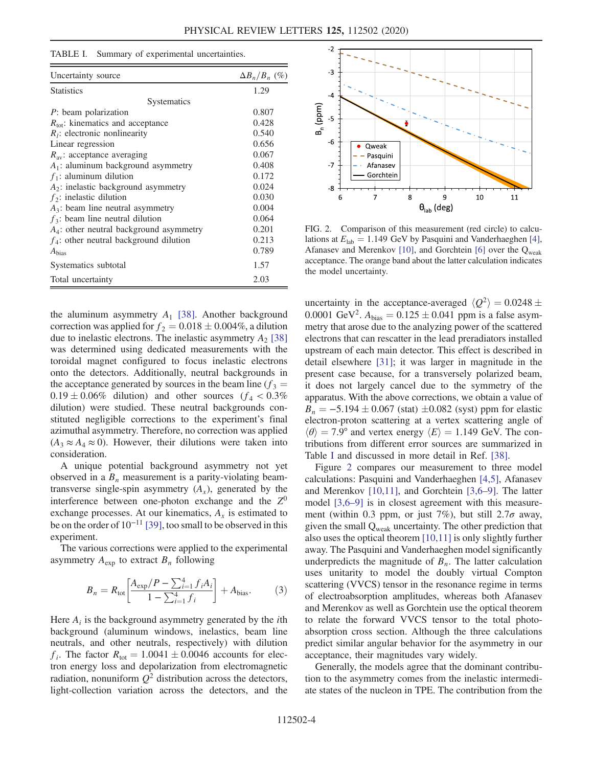<span id="page-5-0"></span>

| TABLE I. |  |  | Summary of experimental uncertainties. |  |
|----------|--|--|----------------------------------------|--|
|----------|--|--|----------------------------------------|--|

| Uncertainty source                           | $\Delta B_n/B_n$ (%) |
|----------------------------------------------|----------------------|
| <b>Statistics</b>                            | 1.29                 |
| <b>Systematics</b>                           |                      |
| $P$ : beam polarization                      | 0.807                |
| $R_{\text{tot}}$ : kinematics and acceptance | 0.428                |
| $R_i$ : electronic nonlinearity              | 0.540                |
| Linear regression                            | 0.656                |
| $R_{av}$ : acceptance averaging              | 0.067                |
| $A_1$ : aluminum background asymmetry        | 0.408                |
| $f_1$ : aluminum dilution                    | 0.172                |
| $A_2$ : inelastic background asymmetry       | 0.024                |
| $f_2$ : inelastic dilution                   | 0.030                |
| $A_3$ : beam line neutral asymmetry          | 0.004                |
| $f_3$ : beam line neutral dilution           | 0.064                |
| $A_4$ : other neutral background asymmetry   | 0.201                |
| $f_4$ : other neutral background dilution    | 0.213                |
| $A_{bias}$                                   | 0.789                |
| Systematics subtotal                         | 1.57                 |
| Total uncertainty                            | 2.03                 |

the aluminum asymmetry  $A_1$  [\[38\]](#page-7-13). Another background correction was applied for  $f_2 = 0.018 \pm 0.004\%$ , a dilution due to inelastic electrons. The inelastic asymmetry  $A_2$  [\[38\]](#page-7-13) was determined using dedicated measurements with the toroidal magnet configured to focus inelastic electrons onto the detectors. Additionally, neutral backgrounds in the acceptance generated by sources in the beam line  $(f_3 =$  $0.19 \pm 0.06\%$  dilution) and other sources  $(f_4 < 0.3\%$ dilution) were studied. These neutral backgrounds constituted negligible corrections to the experiment's final azimuthal asymmetry. Therefore, no correction was applied  $(A_3 \approx A_4 \approx 0)$ . However, their dilutions were taken into consideration.

A unique potential background asymmetry not yet observed in a  $B_n$  measurement is a parity-violating beamtransverse single-spin asymmetry  $(A_x)$ , generated by the interference between one-photon exchange and the  $Z^0$ exchange processes. At our kinematics,  $A<sub>x</sub>$  is estimated to be on the order of  $10^{-11}$  [\[39\]](#page-7-14), too small to be observed in this experiment.

The various corrections were applied to the experimental asymmetry  $A_{\text{exp}}$  to extract  $B_n$  following

$$
B_n = R_{\text{tot}} \left[ \frac{A_{\text{exp}}/P - \sum_{i=1}^4 f_i A_i}{1 - \sum_{i=1}^4 f_i} \right] + A_{\text{bias}}.
$$
 (3)

Here  $A_i$  is the background asymmetry generated by the *i*th background (aluminum windows, inelastics, beam line neutrals, and other neutrals, respectively) with dilution  $f_i$ . The factor  $R_{\text{tot}} = 1.0041 \pm 0.0046$  accounts for electron energy loss and depolarization from electromagnetic radiation, nonuniform  $Q^2$  distribution across the detectors, light-collection variation across the detectors, and the

<span id="page-5-1"></span>

FIG. 2. Comparison of this measurement (red circle) to calculations at  $E_{\text{lab}} = 1.149 \text{ GeV}$  by Pasquini and Vanderhaeghen [\[4\],](#page-6-5) Afanasev and Merenkov [\[10\],](#page-6-14) and Gorchtein [\[6\]](#page-6-15) over the  $Q_{weak}$ acceptance. The orange band about the latter calculation indicates the model uncertainty.

uncertainty in the acceptance-averaged  $\langle Q^2 \rangle = 0.0248 \pm$ 0.0001 GeV<sup>2</sup>.  $A_{bias} = 0.125 \pm 0.041$  ppm is a false asymmetry that arose due to the analyzing power of the scattered electrons that can rescatter in the lead preradiators installed upstream of each main detector. This effect is described in detail elsewhere [\[31\];](#page-7-9) it was larger in magnitude in the present case because, for a transversely polarized beam, it does not largely cancel due to the symmetry of the apparatus. With the above corrections, we obtain a value of  $B_n = -5.194 \pm 0.067$  (stat)  $\pm 0.082$  (syst) ppm for elastic electron-proton scattering at a vertex scattering angle of  $\langle \theta \rangle = 7.9^{\circ}$  and vertex energy  $\langle E \rangle = 1.149$  GeV. The contributions from different error sources are summarized in Table [I](#page-5-0) and discussed in more detail in Ref. [\[38\]](#page-7-13).

Figure [2](#page-5-1) compares our measurement to three model calculations: Pasquini and Vanderhaeghen [\[4,5\]](#page-6-5), Afanasev and Merenkov [\[10,11\],](#page-6-14) and Gorchtein [\[3,6](#page-6-4)–9]. The latter model [\[3,6](#page-6-4)–9] is in closest agreement with this measurement (within 0.3 ppm, or just 7%), but still  $2.7\sigma$  away, given the small Qweak uncertainty. The other prediction that also uses the optical theorem [\[10,11\]](#page-6-14) is only slightly further away. The Pasquini and Vanderhaeghen model significantly underpredicts the magnitude of  $B_n$ . The latter calculation uses unitarity to model the doubly virtual Compton scattering (VVCS) tensor in the resonance regime in terms of electroabsorption amplitudes, whereas both Afanasev and Merenkov as well as Gorchtein use the optical theorem to relate the forward VVCS tensor to the total photoabsorption cross section. Although the three calculations predict similar angular behavior for the asymmetry in our acceptance, their magnitudes vary widely.

Generally, the models agree that the dominant contribution to the asymmetry comes from the inelastic intermediate states of the nucleon in TPE. The contribution from the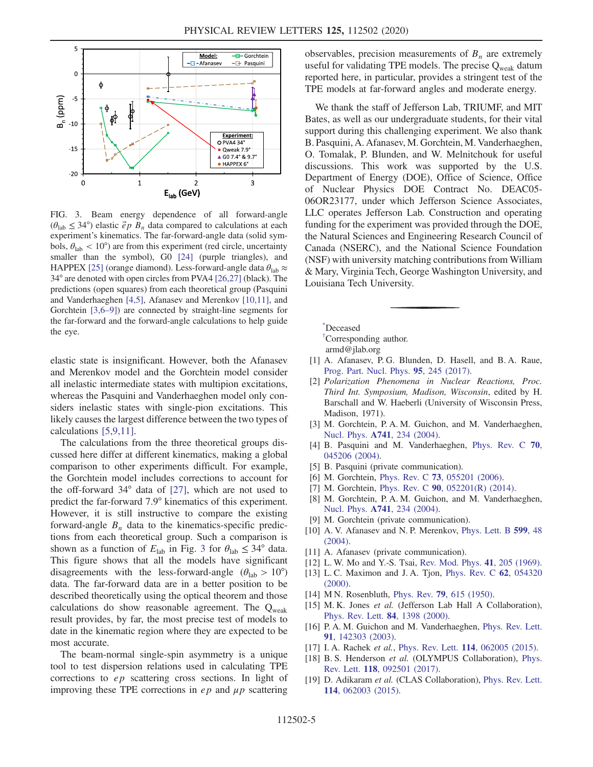<span id="page-6-17"></span>

FIG. 3. Beam energy dependence of all forward-angle  $(\theta_{\text{lab}} \leq 34^{\circ})$  elastic  $\vec{e}$  p  $B_n$  data compared to calculations at each experiment's kinematics. The far-forward-angle data (solid symbols,  $\theta_{\rm lab} < 10^{\circ}$ ) are from this experiment (red circle, uncertainty smaller than the symbol), G0 [\[24\]](#page-7-3) (purple triangles), and HAPPEX [\[25\]](#page-7-4) (orange diamond). Less-forward-angle data  $\theta_{lab} \approx$ 34° are denoted with open circles from PVA4 [\[26,27\]](#page-7-5) (black). The predictions (open squares) from each theoretical group (Pasquini and Vanderhaeghen [\[4,5\]](#page-6-5), Afanasev and Merenkov [\[10,11\],](#page-6-14) and Gorchtein [\[3,6](#page-6-4)–9]) are connected by straight-line segments for the far-forward and the forward-angle calculations to help guide the eye.

elastic state is insignificant. However, both the Afanasev and Merenkov model and the Gorchtein model consider all inelastic intermediate states with multipion excitations, whereas the Pasquini and Vanderhaeghen model only considers inelastic states with single-pion excitations. This likely causes the largest difference between the two types of calculations [\[5,9,11\]](#page-6-16).

The calculations from the three theoretical groups discussed here differ at different kinematics, making a global comparison to other experiments difficult. For example, the Gorchtein model includes corrections to account for the off-forward 34° data of [\[27\],](#page-7-15) which are not used to predict the far-forward 7.9° kinematics of this experiment. However, it is still instructive to compare the existing forward-angle  $B_n$  data to the kinematics-specific predictions from each theoretical group. Such a comparison is shown as a function of  $E_{\text{lab}}$  in Fig. [3](#page-6-17) for  $\theta_{\text{lab}} \leq 34^{\circ}$  data. This figure shows that all the models have significant disagreements with the less-forward-angle  $(\theta_{lab} > 10^{\circ})$ data. The far-forward data are in a better position to be described theoretically using the optical theorem and those calculations do show reasonable agreement. The  $Q_{weak}$ result provides, by far, the most precise test of models to date in the kinematic region where they are expected to be most accurate.

The beam-normal single-spin asymmetry is a unique tool to test dispersion relations used in calculating TPE corrections to ep scattering cross sections. In light of improving these TPE corrections in  $ep$  and  $\mu p$  scattering observables, precision measurements of  $B_n$  are extremely useful for validating TPE models. The precise Q<sub>weak</sub> datum reported here, in particular, provides a stringent test of the TPE models at far-forward angles and moderate energy.

We thank the staff of Jefferson Lab, TRIUMF, and MIT Bates, as well as our undergraduate students, for their vital support during this challenging experiment. We also thank B. Pasquini, A. Afanasev, M. Gorchtein, M. Vanderhaeghen, O. Tomalak, P. Blunden, and W. Melnitchouk for useful discussions. This work was supported by the U.S. Department of Energy (DOE), Office of Science, Office of Nuclear Physics DOE Contract No. DEAC05- 06OR23177, under which Jefferson Science Associates, LLC operates Jefferson Lab. Construction and operating funding for the experiment was provided through the DOE, the Natural Sciences and Engineering Research Council of Canada (NSERC), and the National Science Foundation (NSF) with university matching contributions from William & Mary, Virginia Tech, George Washington University, and Louisiana Tech University.

<span id="page-6-1"></span><span id="page-6-0"></span>[\\*](#page-2-0) Deceased

[†](#page-2-1) Corresponding author. armd@jlab.org

- <span id="page-6-3"></span><span id="page-6-2"></span>[1] A. Afanasev, P. G. Blunden, D. Hasell, and B. A. Raue, [Prog. Part. Nucl. Phys.](https://doi.org/10.1016/j.ppnp.2017.03.004) 95, 245 (2017).
- [2] Polarization Phenomena in Nuclear Reactions, Proc. Third Int. Symposium, Madison, Wisconsin, edited by H. Barschall and W. Haeberli (University of Wisconsin Press, Madison, 1971).
- <span id="page-6-5"></span><span id="page-6-4"></span>[3] M. Gorchtein, P. A. M. Guichon, and M. Vanderhaeghen, Nucl. Phys. A741[, 234 \(2004\)](https://doi.org/10.1016/j.nuclphysa.2004.06.008).
- <span id="page-6-16"></span>[4] B. Pasquini and M. Vanderhaeghen, [Phys. Rev. C](https://doi.org/10.1103/PhysRevC.70.045206) 70, [045206 \(2004\).](https://doi.org/10.1103/PhysRevC.70.045206)
- <span id="page-6-15"></span>[5] B. Pasquini (private communication).
- <span id="page-6-13"></span>[6] M. Gorchtein, Phys. Rev. C 73[, 055201 \(2006\)](https://doi.org/10.1103/PhysRevC.73.055201).
- [7] M. Gorchtein, Phys. Rev. C **90**[, 052201\(R\) \(2014\).](https://doi.org/10.1103/PhysRevC.90.052201)
- [8] M. Gorchtein, P. A. M. Guichon, and M. Vanderhaeghen, Nucl. Phys. A741[, 234 \(2004\)](https://doi.org/10.1016/j.nuclphysa.2004.06.008).
- <span id="page-6-14"></span>[9] M. Gorchtein (private communication).
- [10] A. V. Afanasev and N. P. Merenkov, [Phys. Lett. B](https://doi.org/10.1016/j.physletb.2004.08.023) 599, 48 [\(2004\).](https://doi.org/10.1016/j.physletb.2004.08.023)
- <span id="page-6-6"></span>[11] A. Afanasev (private communication).
- [12] L. W. Mo and Y.-S. Tsai, [Rev. Mod. Phys.](https://doi.org/10.1103/RevModPhys.41.205) 41, 205 (1969).
- <span id="page-6-7"></span>[13] L. C. Maximon and J. A. Tjon, [Phys. Rev. C](https://doi.org/10.1103/PhysRevC.62.054320) 62, 054320 [\(2000\).](https://doi.org/10.1103/PhysRevC.62.054320)
- <span id="page-6-8"></span>[14] M N. Rosenbluth, Phys. Rev. **79**[, 615 \(1950\).](https://doi.org/10.1103/PhysRev.79.615)
- <span id="page-6-9"></span>[15] M. K. Jones et al. (Jefferson Lab Hall A Collaboration), [Phys. Rev. Lett.](https://doi.org/10.1103/PhysRevLett.84.1398) 84, 1398 (2000).
- <span id="page-6-10"></span>[16] P. A. M. Guichon and M. Vanderhaeghen, [Phys. Rev. Lett.](https://doi.org/10.1103/PhysRevLett.91.142303) 91[, 142303 \(2003\).](https://doi.org/10.1103/PhysRevLett.91.142303)
- <span id="page-6-11"></span>[17] I. A. Rachek et al., Phys. Rev. Lett. 114[, 062005 \(2015\).](https://doi.org/10.1103/PhysRevLett.114.062005)
- <span id="page-6-12"></span>[18] B. S. Henderson et al. (OLYMPUS Collaboration), [Phys.](https://doi.org/10.1103/PhysRevLett.118.092501) Rev. Lett. 118[, 092501 \(2017\).](https://doi.org/10.1103/PhysRevLett.118.092501)
- [19] D. Adikaram et al. (CLAS Collaboration), [Phys. Rev. Lett.](https://doi.org/10.1103/PhysRevLett.114.062003) 114[, 062003 \(2015\).](https://doi.org/10.1103/PhysRevLett.114.062003)